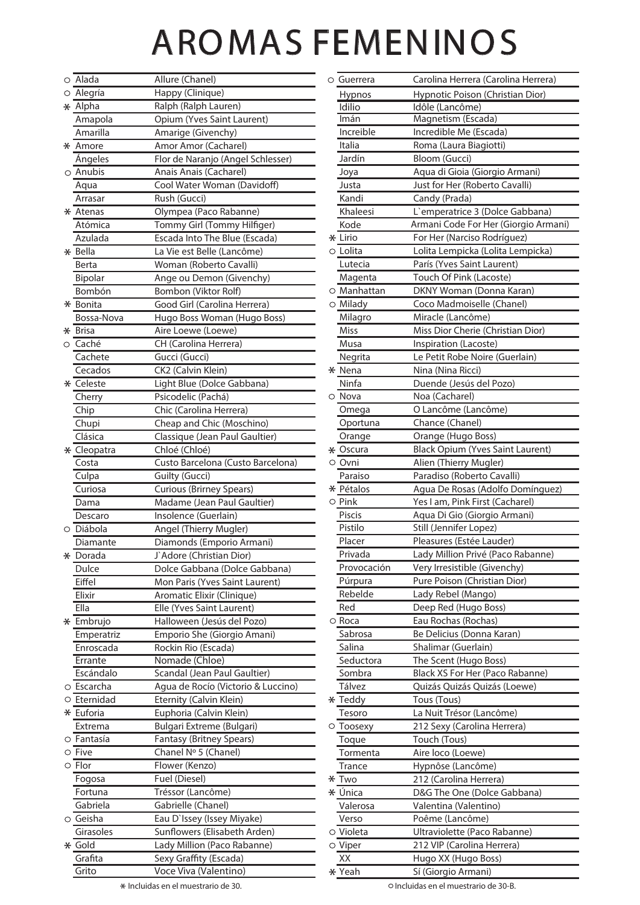## AROMAS FEMENINOS

|         | $\circ$ Alada      | Allure (Chanel)                                 | $\circ$ Guerrera       | Carolina Herrera (Carolina Herrera)                             |
|---------|--------------------|-------------------------------------------------|------------------------|-----------------------------------------------------------------|
|         | $\circ$ Alegría    | Happy (Clinique)                                | Hypnos                 | Hypnotic Poison (Christian Dior)                                |
|         | $*$ Alpha          | Ralph (Ralph Lauren)                            | Idilio                 | Idôle (Lancôme)                                                 |
|         | Amapola            | Opium (Yves Saint Laurent)                      | Imán                   | Magnetism (Escada)                                              |
|         | Amarilla           | Amarige (Givenchy)                              | Increible              | Incredible Me (Escada)                                          |
|         | * Amore            | Amor Amor (Cacharel)                            | Italia                 | Roma (Laura Biagiotti)                                          |
|         | Ángeles            | Flor de Naranjo (Angel Schlesser)               | Jardín                 | Bloom (Gucci)                                                   |
|         | $\circ$ Anubis     | Anais Anais (Cacharel)                          | Joya                   | Aqua di Gioia (Giorgio Armani)                                  |
|         | Aqua               | Cool Water Woman (Davidoff)                     | Justa                  | Just for Her (Roberto Cavalli)                                  |
|         | Arrasar            | Rush (Gucci)                                    | Kandi                  | Candy (Prada)                                                   |
|         | * Atenas           | Olympea (Paco Rabanne)                          | Khaleesi               | L'emperatrice 3 (Dolce Gabbana)                                 |
|         | Atómica            | Tommy Girl (Tommy Hilfiger)                     | Kode                   | Armani Code For Her (Giorgio Armar                              |
|         | Azulada            | Escada Into The Blue (Escada)                   | * Lirio                | For Her (Narciso Rodríguez)                                     |
|         | * Bella            | La Vie est Belle (Lancôme)                      | ○ Lolita               | Lolita Lempicka (Lolita Lempicka)                               |
|         | Berta              | Woman (Roberto Cavalli)                         | Lutecia                | París (Yves Saint Laurent)                                      |
|         | Bipolar            | Ange ou Demon (Givenchy)                        | Magenta                | Touch Of Pink (Lacoste)                                         |
|         | Bombón             | Bombon (Viktor Rolf)                            | $\circ$ Manhattan      | DKNY Woman (Donna Karan)                                        |
|         | * Bonita           | Good Girl (Carolina Herrera)                    | $\circ$ Milady         | Coco Madmoiselle (Chanel)                                       |
|         | Bossa-Nova         | Hugo Boss Woman (Hugo Boss)                     | Milagro                | Miracle (Lancôme)                                               |
|         | * Brisa            | Aire Loewe (Loewe)                              | Miss                   | Miss Dior Cherie (Christian Dior)                               |
| O       | Caché              | CH (Carolina Herrera)                           | Musa                   | Inspiration (Lacoste)                                           |
|         | Cachete            | Gucci (Gucci)                                   | Negrita                | Le Petit Robe Noire (Guerlain)                                  |
|         | Cecados            | CK2 (Calvin Klein)                              | * Nena                 | Nina (Nina Ricci)                                               |
|         | * Celeste          | Light Blue (Dolce Gabbana)                      | Ninfa                  | Duende (Jesús del Pozo)                                         |
|         | Cherry             | Psicodelic (Pachá)                              | Nova<br>$\circ$        | Noa (Cacharel)                                                  |
|         | Chip               | Chic (Carolina Herrera)                         | Omega                  | O Lancôme (Lancôme)                                             |
|         | Chupi              | Cheap and Chic (Moschino)                       | Oportuna               | Chance (Chanel)                                                 |
|         | Clásica            | Classique (Jean Paul Gaultier)                  | Orange                 | Orange (Hugo Boss)                                              |
|         | * Cleopatra        | Chloé (Chloé)                                   | * Oscura               | <b>Black Opium (Yves Saint Laurent)</b>                         |
|         | Costa              | Custo Barcelona (Custo Barcelona)               | ○ Ovni                 | Alien (Thierry Mugler)                                          |
|         | Culpa              | <b>Guilty (Gucci)</b>                           | Paraiso                | Paradiso (Roberto Cavalli)                                      |
|         | Curiosa            | <b>Curious (Brirney Spears)</b>                 | * Pétalos              | Agua De Rosas (Adolfo Domínguez)                                |
|         | Dama               | Madame (Jean Paul Gaultier)                     | $\circ$ Pink<br>Piscis | Yes I am, Pink First (Cacharel)<br>Aqua Di Gio (Giorgio Armani) |
| O       | Descaro<br>Diábola | Insolence (Guerlain)<br>Angel (Thierry Mugler)  | Pistilo                | Still (Jennifer Lopez)                                          |
|         | Diamante           | Diamonds (Emporio Armani)                       | Placer                 | Pleasures (Estée Lauder)                                        |
|         | * Dorada           | J`Adore (Christian Dior)                        | Privada                | Lady Million Privé (Paco Rabanne)                               |
|         | Dulce              | Dolce Gabbana (Dolce Gabbana)                   | Provocación            | Very Irresistible (Givenchy)                                    |
|         | Eiffel             | Mon Paris (Yves Saint Laurent)                  | Púrpura                | Pure Poison (Christian Dior)                                    |
|         | Elixir             | Aromatic Elixir (Clinique)                      | Rebelde                | Lady Rebel (Mango)                                              |
|         | Ella               | Elle (Yves Saint Laurent)                       | Red                    | Deep Red (Hugo Boss)                                            |
|         | * Embrujo          | Halloween (Jesús del Pozo)                      | ○ Roca                 | Eau Rochas (Rochas)                                             |
|         | Emperatriz         | Emporio She (Giorgio Amani)                     | Sabrosa                | Be Delicius (Donna Karan)                                       |
|         | Enroscada          | Rockin Rio (Escada)                             | Salina                 | Shalimar (Guerlain)                                             |
|         | Errante            | Nomade (Chloe)                                  | Seductora              | The Scent (Hugo Boss)                                           |
|         | Escándalo          | Scandal (Jean Paul Gaultier)                    | Sombra                 | Black XS For Her (Paco Rabanne)                                 |
|         | ○ Escarcha         | Agua de Rocío (Victorio & Luccino)              | Tálvez                 | Quizás Quizás Quizás (Loewe)                                    |
|         | $\circ$ Eternidad  | Eternity (Calvin Klein)                         | * Teddy                | Tous (Tous)                                                     |
|         | * Euforia          | Euphoria (Calvin Klein)                         | Tesoro                 | La Nuit Trésor (Lancôme)                                        |
|         | Extrema            | <b>Bulgari Extreme (Bulgari)</b>                | $\circ$ Toosexy        | 212 Sexy (Carolina Herrera)                                     |
|         | ○ Fantasía         | Fantasy (Britney Spears)                        | Toque                  | Touch (Tous)                                                    |
| О       | Five               | Chanel Nº 5 (Chanel)                            | Tormenta               | Aire loco (Loewe)                                               |
|         | $\circ$ Flor       | Flower (Kenzo)                                  | Trance                 | Hypnôse (Lancôme)                                               |
|         | Fogosa             | Fuel (Diesel)                                   | * Two                  | 212 (Carolina Herrera)                                          |
|         | Fortuna            | Tréssor (Lancôme)                               | * Única                | D&G The One (Dolce Gabbana)                                     |
|         | Gabriela           | Gabrielle (Chanel)                              | Valerosa               | Valentina (Valentino)                                           |
| $\circ$ | Geisha             | Eau D'Issey (Issey Miyake)                      | Verso                  | Poême (Lancôme)                                                 |
|         | Girasoles          | Sunflowers (Elisabeth Arden)                    | ○ Violeta              | Ultraviolette (Paco Rabanne)                                    |
|         | * Gold             | Lady Million (Paco Rabanne)                     | $\circ$ Viper          | 212 VIP (Carolina Herrera)                                      |
|         | Grafita<br>Grito   | Sexy Graffity (Escada)<br>Voce Viva (Valentino) | XX                     | Hugo XX (Hugo Boss)                                             |
|         |                    |                                                 | * Yeah                 | Sí (Giorgio Armani)                                             |

| Alada          | Allure (Chanel)                    | ○ Guerrera        | Carolina Herrera (Carolina Herrera)     |
|----------------|------------------------------------|-------------------|-----------------------------------------|
| Alegría        | Happy (Clinique)                   | <b>Hypnos</b>     | Hypnotic Poison (Christian Dior)        |
| Alpha          | Ralph (Ralph Lauren)               | Idilio            | Idôle (Lancôme)                         |
| Amapola        | Opium (Yves Saint Laurent)         | Imán              | Magnetism (Escada)                      |
| Amarilla       | Amarige (Givenchy)                 | Increible         | Incredible Me (Escada)                  |
| Amore          | Amor Amor (Cacharel)               | Italia            | Roma (Laura Biagiotti)                  |
| Ángeles        | Flor de Naranjo (Angel Schlesser)  | Jardín            | <b>Bloom (Gucci)</b>                    |
| Anubis         | Anais Anais (Cacharel)             | Joya              | Aqua di Gioia (Giorgio Armani)          |
| Aqua           | Cool Water Woman (Davidoff)        | Justa             | Just for Her (Roberto Cavalli)          |
| Arrasar        | Rush (Gucci)                       | Kandi             | Candy (Prada)                           |
| Atenas         | Olympea (Paco Rabanne)             | Khaleesi          | L'emperatrice 3 (Dolce Gabbana)         |
| Atómica        | Tommy Girl (Tommy Hilfiger)        | Kode              | Armani Code For Her (Giorgio Armani)    |
| Azulada        | Escada Into The Blue (Escada)      | * Lirio           | For Her (Narciso Rodríguez)             |
| Bella          | La Vie est Belle (Lancôme)         | ○ Lolita          | Lolita Lempicka (Lolita Lempicka)       |
| Berta          | Woman (Roberto Cavalli)            | Lutecia           | París (Yves Saint Laurent)              |
| <b>Bipolar</b> | Ange ou Demon (Givenchy)           | Magenta           | Touch Of Pink (Lacoste)                 |
| Bombón         | Bombon (Viktor Rolf)               | $\circ$ Manhattan | DKNY Woman (Donna Karan)                |
| Bonita         | Good Girl (Carolina Herrera)       | $\circ$ Milady    | Coco Madmoiselle (Chanel)               |
| Bossa-Nova     | Hugo Boss Woman (Hugo Boss)        | Milagro           | Miracle (Lancôme)                       |
| <b>Brisa</b>   | Aire Loewe (Loewe)                 | Miss              | Miss Dior Cherie (Christian Dior)       |
| Caché          | CH (Carolina Herrera)              | Musa              | Inspiration (Lacoste)                   |
| Cachete        | Gucci (Gucci)                      | Negrita           | Le Petit Robe Noire (Guerlain)          |
| Cecados        | CK2 (Calvin Klein)                 | * Nena            | Nina (Nina Ricci)                       |
| Celeste        | Light Blue (Dolce Gabbana)         | Ninfa             | Duende (Jesús del Pozo)                 |
| Cherry         | Psicodelic (Pachá)                 | ○ Nova            | Noa (Cacharel)                          |
| Chip           | Chic (Carolina Herrera)            | Omega             | O Lancôme (Lancôme)                     |
| Chupi          | Cheap and Chic (Moschino)          | Oportuna          | Chance (Chanel)                         |
| Clásica        | Classique (Jean Paul Gaultier)     | Orange            | Orange (Hugo Boss)                      |
| Cleopatra      | Chloé (Chloé)                      | * Oscura          | <b>Black Opium (Yves Saint Laurent)</b> |
| Costa          | Custo Barcelona (Custo Barcelona)  | ○ Ovni            | Alien (Thierry Mugler)                  |
| Culpa          | Guilty (Gucci)                     | Paraiso           | Paradiso (Roberto Cavalli)              |
| Curiosa        | <b>Curious (Brirney Spears)</b>    | * Pétalos         | Agua De Rosas (Adolfo Domínguez)        |
| Dama           | Madame (Jean Paul Gaultier)        | $\circ$ Pink      | Yes I am, Pink First (Cacharel)         |
| Descaro        | Insolence (Guerlain)               | Piscis            | Aqua Di Gio (Giorgio Armani)            |
| Diábola        | Angel (Thierry Mugler)             | Pistilo           | Still (Jennifer Lopez)                  |
| Diamante       | Diamonds (Emporio Armani)          | Placer            | Pleasures (Estée Lauder)                |
| Dorada         | J`Adore (Christian Dior)           | Privada           | Lady Million Privé (Paco Rabanne)       |
| Dulce          | Dolce Gabbana (Dolce Gabbana)      | Provocación       | Very Irresistible (Givenchy)            |
| Eiffel         | Mon Paris (Yves Saint Laurent)     | Púrpura           | Pure Poison (Christian Dior)            |
| Elixir         | Aromatic Elixir (Clinique)         | Rebelde           | Lady Rebel (Mango)                      |
| Ella           | Elle (Yves Saint Laurent)          | Red               | Deep Red (Hugo Boss)                    |
| Embrujo        | Halloween (Jesús del Pozo)         | ○ Roca            | Eau Rochas (Rochas)                     |
| Emperatriz     | Emporio She (Giorgio Amani)        | Sabrosa           | Be Delicius (Donna Karan)               |
| Enroscada      | Rockin Rio (Escada)                | Salina            | Shalimar (Guerlain)                     |
| Errante        | Nomade (Chloe)                     | Seductora         | The Scent (Hugo Boss)                   |
| Escándalo      | Scandal (Jean Paul Gaultier)       | Sombra            | Black XS For Her (Paco Rabanne)         |
| Escarcha       | Agua de Rocío (Victorio & Luccino) | Tálvez            | Quizás Quizás Quizás (Loewe)            |
| Eternidad      | Eternity (Calvin Klein)            | * Teddy           | Tous (Tous)                             |
| Euforia        | Euphoria (Calvin Klein)            | Tesoro            | La Nuit Trésor (Lancôme)                |
| Extrema        | Bulgari Extreme (Bulgari)          | Toosexy<br>O      | 212 Sexy (Carolina Herrera)             |
| Fantasía       | Fantasy (Britney Spears)           | Toque             | Touch (Tous)                            |
| Five           | Chanel Nº 5 (Chanel)               | Tormenta          | Aire loco (Loewe)                       |
| Flor           | Flower (Kenzo)                     | Trance            | Hypnôse (Lancôme)                       |
| Fogosa         | Fuel (Diesel)                      | * Two             | 212 (Carolina Herrera)                  |
| Fortuna        | Tréssor (Lancôme)                  | ∗ Única           | D&G The One (Dolce Gabbana)             |
| Gabriela       | Gabrielle (Chanel)                 | Valerosa          | Valentina (Valentino)                   |
| Geisha         | Eau D'Issey (Issey Miyake)         | Verso             | Poême (Lancôme)                         |
| Girasoles      | Sunflowers (Elisabeth Arden)       | ○ Violeta         | Ultraviolette (Paco Rabanne)            |
| Gold           | Lady Million (Paco Rabanne)        | $\circ$ Viper     | 212 VIP (Carolina Herrera)              |
| Grafita        | Sexy Graffity (Escada)             | XX                | Hugo XX (Hugo Boss)                     |
| Grito          | Voce Viva (Valentino)              | * Yeah            | Sí (Giorgio Armani)                     |
|                |                                    |                   |                                         |

\* Incluidas en el muestrario de 30. Incluidas en el muestrario de 30-B.